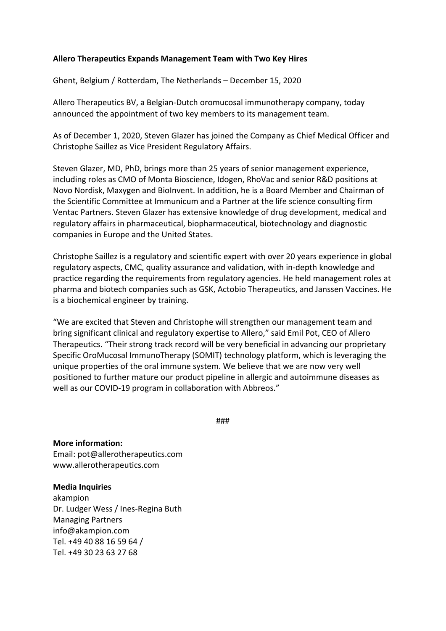## **Allero Therapeutics Expands Management Team with Two Key Hires**

Ghent, Belgium / Rotterdam, The Netherlands – December 15, 2020

Allero Therapeutics BV, a Belgian-Dutch oromucosal immunotherapy company, today announced the appointment of two key members to its management team.

As of December 1, 2020, Steven Glazer has joined the Company as Chief Medical Officer and Christophe Saillez as Vice President Regulatory Affairs.

Steven Glazer, MD, PhD, brings more than 25 years of senior management experience, including roles as CMO of Monta Bioscience, Idogen, RhoVac and senior R&D positions at Novo Nordisk, Maxygen and BioInvent. In addition, he is a Board Member and Chairman of the Scientific Committee at Immunicum and a Partner at the life science consulting firm Ventac Partners. Steven Glazer has extensive knowledge of drug development, medical and regulatory affairs in pharmaceutical, biopharmaceutical, biotechnology and diagnostic companies in Europe and the United States.

Christophe Saillez is a regulatory and scientific expert with over 20 years experience in global regulatory aspects, CMC, quality assurance and validation, with in-depth knowledge and practice regarding the requirements from regulatory agencies. He held management roles at pharma and biotech companies such as GSK, Actobio Therapeutics, and Janssen Vaccines. He is a biochemical engineer by training.

"We are excited that Steven and Christophe will strengthen our management team and bring significant clinical and regulatory expertise to Allero," said Emil Pot, CEO of Allero Therapeutics. "Their strong track record will be very beneficial in advancing our proprietary Specific OroMucosal ImmunoTherapy (SOMIT) technology platform, which is leveraging the unique properties of the oral immune system. We believe that we are now very well positioned to further mature our product pipeline in allergic and autoimmune diseases as well as our COVID-19 program in collaboration with Abbreos."

###

**More information:** Email: pot@allerotherapeutics.com www.allerotherapeutics.com

## **Media Inquiries**

akampion Dr. Ludger Wess / Ines-Regina Buth Managing Partners info@akampion.com Tel. +49 40 88 16 59 64 / Tel. +49 30 23 63 27 68